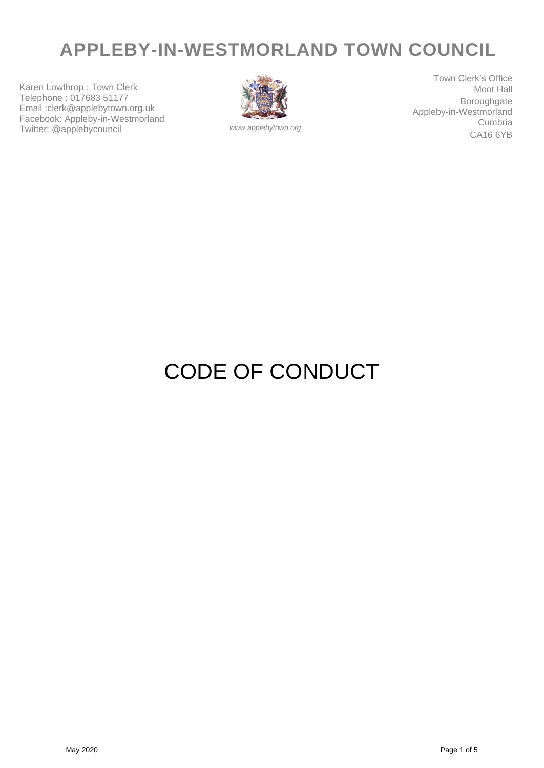## **APPLEBY-IN-WESTMORLAND TOWN COUNCIL**

Karen Lowthrop : Town Clerk Telephone : 017683 51177 Email :clerk@applebytown.org.uk Facebook: Appleby-in-Westmorland Twitter: @applebycouncil *www.applebytown.org*



Town Clerk's Office Moot Hall Boroughgate Appleby-in-Westmorland Cumbria CA16 6YB

# CODE OF CONDUCT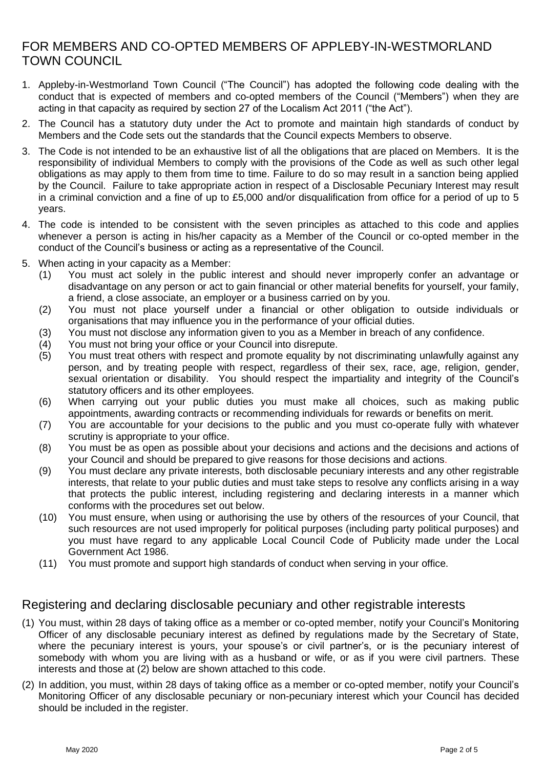## FOR MEMBERS AND CO-OPTED MEMBERS OF APPLEBY-IN-WESTMORLAND TOWN COUNCIL

- 1. Appleby-in-Westmorland Town Council ("The Council") has adopted the following code dealing with the conduct that is expected of members and co-opted members of the Council ("Members") when they are acting in that capacity as required by section 27 of the Localism Act 2011 ("the Act").
- 2. The Council has a statutory duty under the Act to promote and maintain high standards of conduct by Members and the Code sets out the standards that the Council expects Members to observe.
- 3. The Code is not intended to be an exhaustive list of all the obligations that are placed on Members. It is the responsibility of individual Members to comply with the provisions of the Code as well as such other legal obligations as may apply to them from time to time. Failure to do so may result in a sanction being applied by the Council. Failure to take appropriate action in respect of a Disclosable Pecuniary Interest may result in a criminal conviction and a fine of up to £5,000 and/or disqualification from office for a period of up to 5 years.
- 4. The code is intended to be consistent with the seven principles as attached to this code and applies whenever a person is acting in his/her capacity as a Member of the Council or co-opted member in the conduct of the Council's business or acting as a representative of the Council.
- 5. When acting in your capacity as a Member:
	- (1) You must act solely in the public interest and should never improperly confer an advantage or disadvantage on any person or act to gain financial or other material benefits for yourself, your family, a friend, a close associate, an employer or a business carried on by you.
	- (2) You must not place yourself under a financial or other obligation to outside individuals or organisations that may influence you in the performance of your official duties.
	- (3) You must not disclose any information given to you as a Member in breach of any confidence.
	- (4) You must not bring your office or your Council into disrepute.
	- (5) You must treat others with respect and promote equality by not discriminating unlawfully against any person, and by treating people with respect, regardless of their sex, race, age, religion, gender, sexual orientation or disability. You should respect the impartiality and integrity of the Council's statutory officers and its other employees.
	- (6) When carrying out your public duties you must make all choices, such as making public appointments, awarding contracts or recommending individuals for rewards or benefits on merit.
	- (7) You are accountable for your decisions to the public and you must co-operate fully with whatever scrutiny is appropriate to your office.
	- (8) You must be as open as possible about your decisions and actions and the decisions and actions of your Council and should be prepared to give reasons for those decisions and actions.
	- (9) You must declare any private interests, both disclosable pecuniary interests and any other registrable interests, that relate to your public duties and must take steps to resolve any conflicts arising in a way that protects the public interest, including registering and declaring interests in a manner which conforms with the procedures set out below.
	- (10) You must ensure, when using or authorising the use by others of the resources of your Council, that such resources are not used improperly for political purposes (including party political purposes) and you must have regard to any applicable Local Council Code of Publicity made under the Local Government Act 1986.
	- (11) You must promote and support high standards of conduct when serving in your office.

### Registering and declaring disclosable pecuniary and other registrable interests

- (1) You must, within 28 days of taking office as a member or co-opted member, notify your Council's Monitoring Officer of any disclosable pecuniary interest as defined by regulations made by the Secretary of State, where the pecuniary interest is yours, your spouse's or civil partner's, or is the pecuniary interest of somebody with whom you are living with as a husband or wife, or as if you were civil partners. These interests and those at (2) below are shown attached to this code.
- (2) In addition, you must, within 28 days of taking office as a member or co-opted member, notify your Council's Monitoring Officer of any disclosable pecuniary or non-pecuniary interest which your Council has decided should be included in the register.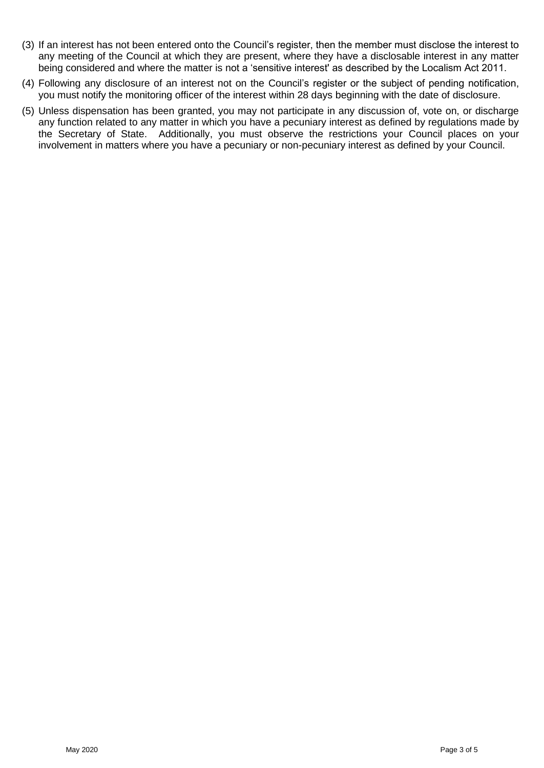- (3) If an interest has not been entered onto the Council's register, then the member must disclose the interest to any meeting of the Council at which they are present, where they have a disclosable interest in any matter being considered and where the matter is not a 'sensitive interest' as described by the Localism Act 2011.
- (4) Following any disclosure of an interest not on the Council's register or the subject of pending notification, you must notify the monitoring officer of the interest within 28 days beginning with the date of disclosure.
- (5) Unless dispensation has been granted, you may not participate in any discussion of, vote on, or discharge any function related to any matter in which you have a pecuniary interest as defined by regulations made by the Secretary of State. Additionally, you must observe the restrictions your Council places on your involvement in matters where you have a pecuniary or non-pecuniary interest as defined by your Council.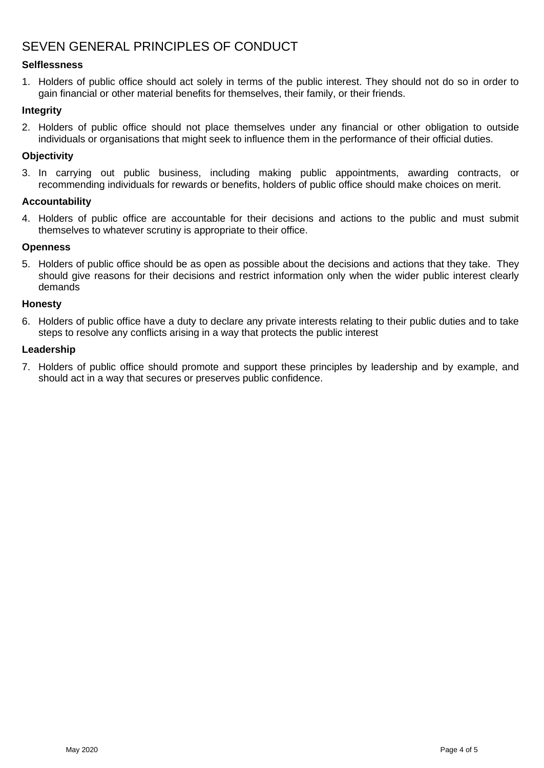## SEVEN GENERAL PRINCIPLES OF CONDUCT

#### **Selflessness**

1. Holders of public office should act solely in terms of the public interest. They should not do so in order to gain financial or other material benefits for themselves, their family, or their friends.

#### **Integrity**

2. Holders of public office should not place themselves under any financial or other obligation to outside individuals or organisations that might seek to influence them in the performance of their official duties.

#### **Objectivity**

3. In carrying out public business, including making public appointments, awarding contracts, or recommending individuals for rewards or benefits, holders of public office should make choices on merit.

#### **Accountability**

4. Holders of public office are accountable for their decisions and actions to the public and must submit themselves to whatever scrutiny is appropriate to their office.

#### **Openness**

5. Holders of public office should be as open as possible about the decisions and actions that they take. They should give reasons for their decisions and restrict information only when the wider public interest clearly demands

#### **Honesty**

6. Holders of public office have a duty to declare any private interests relating to their public duties and to take steps to resolve any conflicts arising in a way that protects the public interest

#### **Leadership**

7. Holders of public office should promote and support these principles by leadership and by example, and should act in a way that secures or preserves public confidence.